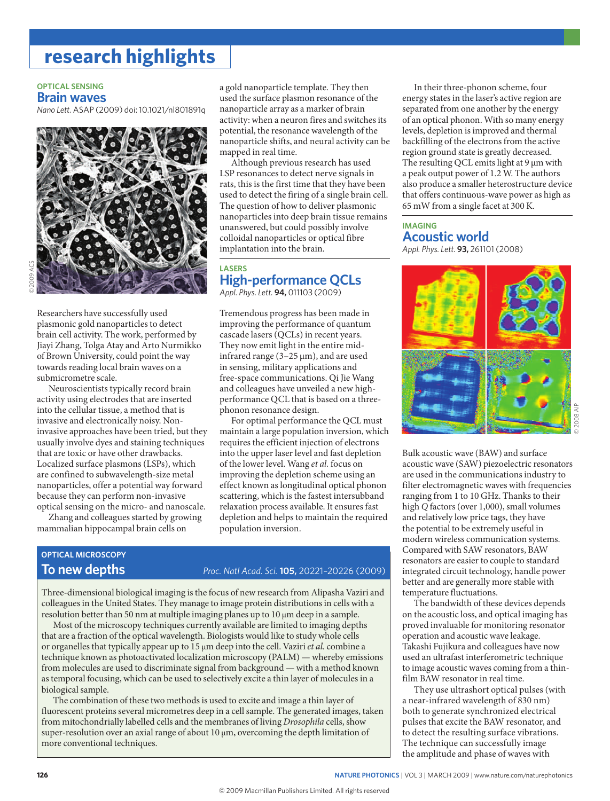## **research highlights**

#### **opticaL sensinG Brain waves**

*Nano Lett.* ASAP (2009) doi: 10.1021/nl801891q



Researchers have successfully used plasmonic gold nanoparticles to detect brain cell activity. The work, performed by Jiayi Zhang, Tolga Atay and Arto Nurmikko of Brown University, could point the way towards reading local brain waves on a submicrometre scale.

Neuroscientists typically record brain activity using electrodes that are inserted into the cellular tissue, a method that is invasive and electronically noisy. Noninvasive approaches have been tried, but they usually involve dyes and staining techniques that are toxic or have other drawbacks. Localized surface plasmons (LSPs), which are confined to subwavelength-size metal nanoparticles, offer a potential way forward because they can perform non-invasive optical sensing on the micro- and nanoscale.

Zhang and colleagues started by growing mammalian hippocampal brain cells on

a gold nanoparticle template. They then used the surface plasmon resonance of the nanoparticle array as a marker of brain activity: when a neuron fires and switches its potential, the resonance wavelength of the nanoparticle shifts, and neural activity can be mapped in real time.

Although previous research has used LSP resonances to detect nerve signals in rats, this is the first time that they have been used to detect the firing of a single brain cell. The question of how to deliver plasmonic nanoparticles into deep brain tissue remains unanswered, but could possibly involve colloidal nanoparticles or optical fibre implantation into the brain.

## **Lasers high-performance QcLs**

*Appl. Phys. Lett.* **94,** 011103 (2009)

Tremendous progress has been made in improving the performance of quantum cascade lasers (QCLs) in recent years. They now emit light in the entire midinfrared range  $(3-25 \mu m)$ , and are used in sensing, military applications and free-space communications. Qi Jie Wang and colleagues have unveiled a new highperformance QCL that is based on a threephonon resonance design.

For optimal performance the QCL must maintain a large population inversion, which requires the efficient injection of electrons into the upper laser level and fast depletion of the lower level. Wang *et al.* focus on improving the depletion scheme using an effect known as longitudinal optical phonon scattering, which is the fastest intersubband relaxation process available. It ensures fast depletion and helps to maintain the required population inversion.

# **opticaL MicroscopY**

### **to new depths** *Proc. Natl Acad. Sci.* **105,** 20221–20226 (2009)

Three-dimensional biological imaging is the focus of new research from Alipasha Vaziri and colleagues in the United States. They manage to image protein distributions in cells with a resolution better than 50 nm at multiple imaging planes up to 10 μm deep in a sample.

Most of the microscopy techniques currently available are limited to imaging depths that are a fraction of the optical wavelength. Biologists would like to study whole cells or organelles that typically appear up to 15 μm deep into the cell. Vaziri *et al.* combine a technique known as photoactivated localization microscopy (PALM) — whereby emissions from molecules are used to discriminate signal from background — with a method known as temporal focusing, which can be used to selectively excite a thin layer of molecules in a biological sample.

The combination of these two methods is used to excite and image a thin layer of fluorescent proteins several micrometres deep in a cell sample. The generated images, taken from mitochondrially labelled cells and the membranes of living *Drosophila* cells, show super-resolution over an axial range of about 10 μm, overcoming the depth limitation of more conventional techniques.

In their three-phonon scheme, four energy states in the laser's active region are separated from one another by the energy of an optical phonon. With so many energy levels, depletion is improved and thermal backfilling of the electrons from the active region ground state is greatly decreased. The resulting QCL emits light at 9 μm with a peak output power of 1.2 W. The authors also produce a smaller heterostructure device that offers continuous-wave power as high as 65 mW from a single facet at 300 K.

#### **iMaGinG acoustic world** *Appl. Phys. Lett.* **93,** 261101 (2008)



Bulk acoustic wave (BAW) and surface acoustic wave (SAW) piezoelectric resonators are used in the communications industry to filter electromagnetic waves with frequencies ranging from 1 to 10 GHz. Thanks to their high *Q* factors (over 1,000), small volumes and relatively low price tags, they have the potential to be extremely useful in modern wireless communication systems. Compared with SAW resonators, BAW resonators are easier to couple to standard integrated circuit technology, handle power better and are generally more stable with temperature fluctuations.

The bandwidth of these devices depends on the acoustic loss, and optical imaging has proved invaluable for monitoring resonator operation and acoustic wave leakage. Takashi Fujikura and colleagues have now used an ultrafast interferometric technique to image acoustic waves coming from a thinfilm BAW resonator in real time.

They use ultrashort optical pulses (with a near-infrared wavelength of 830 nm) both to generate synchronized electrical pulses that excite the BAW resonator, and to detect the resulting surface vibrations. The technique can successfully image the amplitude and phase of waves with